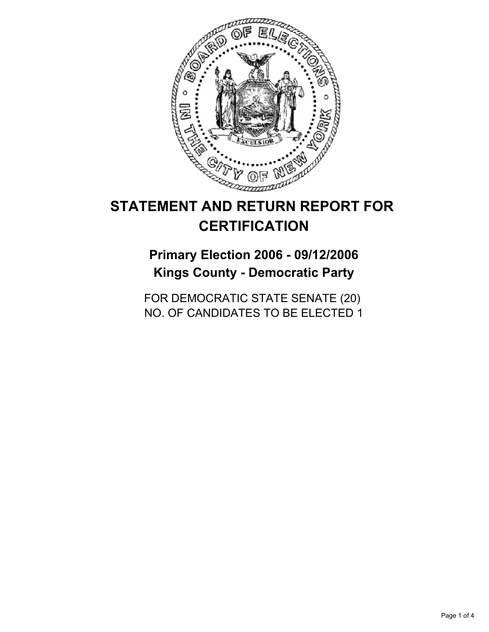

# **STATEMENT AND RETURN REPORT FOR CERTIFICATION**

## **Primary Election 2006 - 09/12/2006 Kings County - Democratic Party**

FOR DEMOCRATIC STATE SENATE (20) NO. OF CANDIDATES TO BE ELECTED 1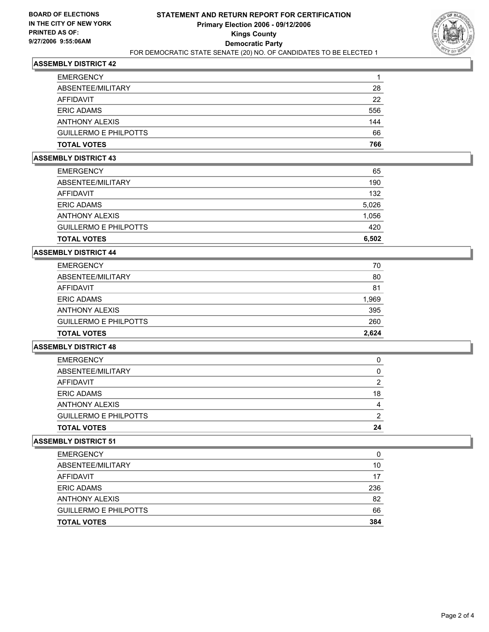

#### **ASSEMBLY DISTRICT 42**

| 28  |
|-----|
| 22  |
| 556 |
| 144 |
| 66  |
| 766 |
|     |

#### **ASSEMBLY DISTRICT 43**

| <b>EMERGENCY</b>             | 65    |
|------------------------------|-------|
| ABSENTEE/MILITARY            | 190   |
| AFFIDAVIT                    | 132   |
| <b>ERIC ADAMS</b>            | 5,026 |
| <b>ANTHONY ALEXIS</b>        | 1,056 |
| <b>GUILLERMO E PHILPOTTS</b> | 420   |
| <b>TOTAL VOTES</b>           | 6,502 |

#### **ASSEMBLY DISTRICT 44**

| <b>EMERGENCY</b>             | 70    |
|------------------------------|-------|
| ABSENTEE/MILITARY            | 80    |
| AFFIDAVIT                    | 81    |
| <b>ERIC ADAMS</b>            | 1,969 |
| <b>ANTHONY ALEXIS</b>        | 395   |
| <b>GUILLERMO E PHILPOTTS</b> | 260   |
| <b>TOTAL VOTES</b>           | 2,624 |

## **ASSEMBLY DISTRICT 48**

| <b>EMERGENCY</b>             |    |
|------------------------------|----|
| ABSENTEE/MILITARY            |    |
| <b>AFFIDAVIT</b>             | n  |
| <b>ERIC ADAMS</b>            | 18 |
| <b>ANTHONY ALEXIS</b>        |    |
| <b>GUILLERMO E PHILPOTTS</b> |    |
| <b>TOTAL VOTES</b>           | 24 |

#### **ASSEMBLY DISTRICT 51**

| <b>EMERGENCY</b>             |     |
|------------------------------|-----|
| ABSENTEE/MILITARY            | 10  |
| <b>AFFIDAVIT</b>             | 17  |
| <b>ERIC ADAMS</b>            | 236 |
| <b>ANTHONY ALEXIS</b>        | 82  |
| <b>GUILLERMO E PHILPOTTS</b> | 66  |
| <b>TOTAL VOTES</b>           | 384 |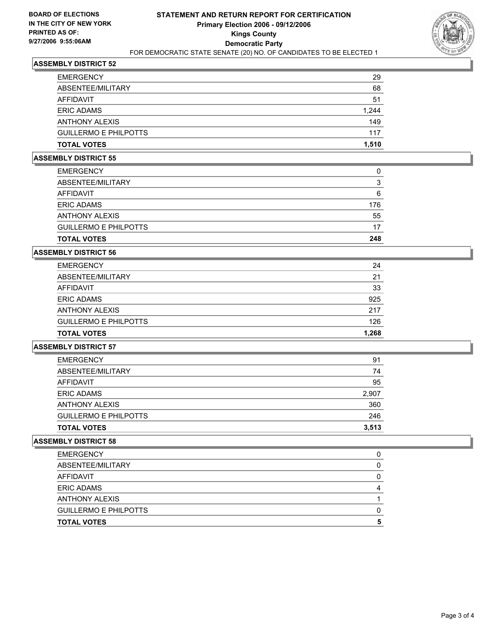

#### **ASSEMBLY DISTRICT 52**

| 29    |
|-------|
| 68    |
| 51    |
| 1,244 |
| 149   |
| 117   |
| 1,510 |
|       |

#### **ASSEMBLY DISTRICT 55**

| <b>EMERGENCY</b>             |     |
|------------------------------|-----|
| ABSENTEE/MILITARY            | ີ   |
| AFFIDAVIT                    | 6   |
| <b>ERIC ADAMS</b>            | 176 |
| <b>ANTHONY ALEXIS</b>        | 55  |
| <b>GUILLERMO E PHILPOTTS</b> | 17  |
| <b>TOTAL VOTES</b>           | 248 |

#### **ASSEMBLY DISTRICT 56**

| AFFIDAVIT<br><b>ERIC ADAMS</b> | 33<br>925 |
|--------------------------------|-----------|
| <b>ANTHONY ALEXIS</b>          | 217       |
| <b>GUILLERMO E PHILPOTTS</b>   | 126       |
| <b>TOTAL VOTES</b>             | 1,268     |

## **ASSEMBLY DISTRICT 57**

| <b>TOTAL VOTES</b>           | 3,513 |
|------------------------------|-------|
| <b>GUILLERMO E PHILPOTTS</b> | 246   |
| <b>ANTHONY ALEXIS</b>        | 360   |
| <b>ERIC ADAMS</b>            | 2,907 |
| AFFIDAVIT                    | 95    |
| ABSENTEE/MILITARY            | 74    |
| <b>EMERGENCY</b>             | 91    |

#### **ASSEMBLY DISTRICT 58**

| <b>EMERGENCY</b>             |  |
|------------------------------|--|
| ABSENTEE/MILITARY            |  |
| AFFIDAVIT                    |  |
| <b>ERIC ADAMS</b>            |  |
| <b>ANTHONY ALEXIS</b>        |  |
| <b>GUILLERMO E PHILPOTTS</b> |  |
| <b>TOTAL VOTES</b>           |  |